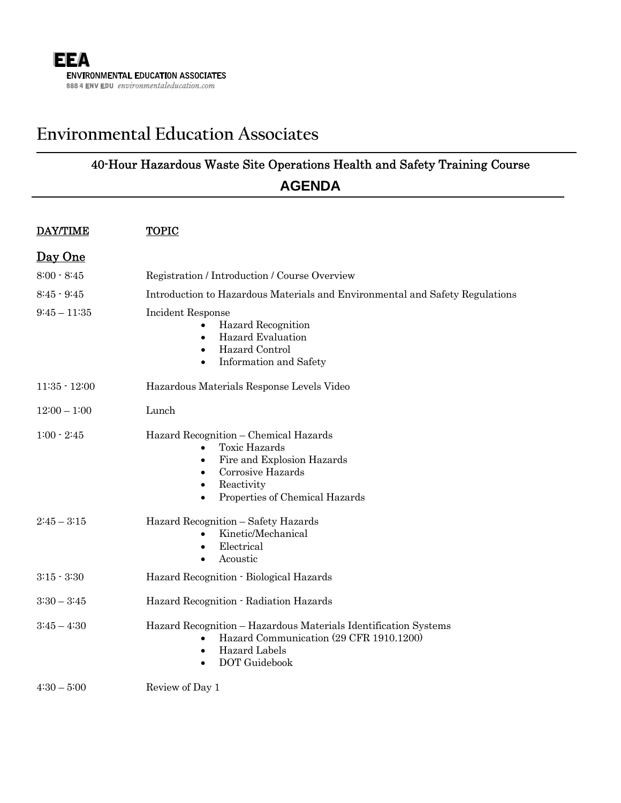j

# **Environmental Education Associates**

# 40-Hour Hazardous Waste Site Operations Health and Safety Training Course **AGENDA**

| <b>DAY/TIME</b> | <b>TOPIC</b>                                                                                                                                                                                                                      |
|-----------------|-----------------------------------------------------------------------------------------------------------------------------------------------------------------------------------------------------------------------------------|
| Day One         |                                                                                                                                                                                                                                   |
| $8:00 - 8:45$   | Registration / Introduction / Course Overview                                                                                                                                                                                     |
| $8:45 - 9:45$   | Introduction to Hazardous Materials and Environmental and Safety Regulations                                                                                                                                                      |
| $9:45 - 11:35$  | Incident Response<br>Hazard Recognition<br>$\bullet$<br><b>Hazard Evaluation</b><br>٠<br>Hazard Control<br>$\bullet$<br>Information and Safety<br>$\bullet$                                                                       |
| $11:35 - 12:00$ | Hazardous Materials Response Levels Video                                                                                                                                                                                         |
| $12:00 - 1:00$  | Lunch                                                                                                                                                                                                                             |
| $1:00 - 2:45$   | Hazard Recognition - Chemical Hazards<br><b>Toxic Hazards</b><br>$\bullet$<br>Fire and Explosion Hazards<br>$\bullet$<br>Corrosive Hazards<br>$\bullet$<br>Reactivity<br>$\bullet$<br>Properties of Chemical Hazards<br>$\bullet$ |
| $2:45 - 3:15$   | Hazard Recognition - Safety Hazards<br>Kinetic/Mechanical<br>$\bullet$<br>Electrical<br>$\bullet$<br>Acoustic                                                                                                                     |
| $3:15 - 3:30$   | Hazard Recognition - Biological Hazards                                                                                                                                                                                           |
| $3:30 - 3:45$   | Hazard Recognition - Radiation Hazards                                                                                                                                                                                            |
| $3:45 - 4:30$   | Hazard Recognition - Hazardous Materials Identification Systems<br>Hazard Communication (29 CFR 1910.1200)<br>$\bullet$<br>Hazard Labels<br>$\bullet$<br>DOT Guidebook<br>$\bullet$                                               |
| $4:30-5:00$     | Review of Day 1                                                                                                                                                                                                                   |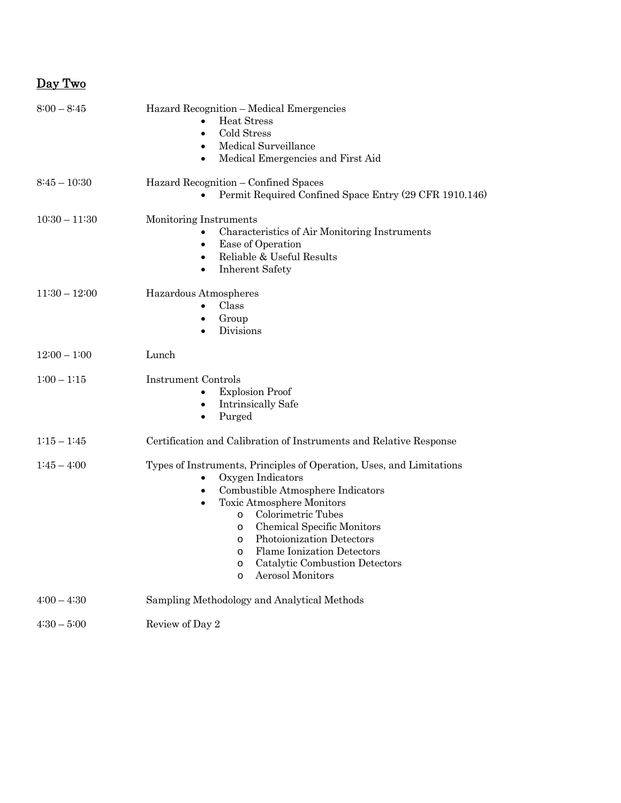#### Day Two

| $8:00 - 8:45$   | Hazard Recognition - Medical Emergencies<br><b>Heat Stress</b><br>Cold Stress<br>$\bullet$<br>Medical Surveillance<br>$\bullet$<br>Medical Emergencies and First Aid                                                                                                                                                                                                                                                                 |
|-----------------|--------------------------------------------------------------------------------------------------------------------------------------------------------------------------------------------------------------------------------------------------------------------------------------------------------------------------------------------------------------------------------------------------------------------------------------|
| $8:45 - 10:30$  | Hazard Recognition - Confined Spaces<br>Permit Required Confined Space Entry (29 CFR 1910.146)                                                                                                                                                                                                                                                                                                                                       |
| $10:30 - 11:30$ | Monitoring Instruments<br>Characteristics of Air Monitoring Instruments<br>Ease of Operation<br>Reliable & Useful Results<br>$\bullet$<br><b>Inherent Safety</b><br>$\bullet$                                                                                                                                                                                                                                                        |
| $11:30 - 12:00$ | Hazardous Atmospheres<br>Class<br>Group<br>$\bullet$<br>Divisions                                                                                                                                                                                                                                                                                                                                                                    |
| $12:00 - 1:00$  | Lunch                                                                                                                                                                                                                                                                                                                                                                                                                                |
| $1:00 - 1:15$   | Instrument Controls<br><b>Explosion Proof</b><br>Intrinsically Safe<br>$\bullet$<br>Purged<br>$\bullet$                                                                                                                                                                                                                                                                                                                              |
| $1:15 - 1:45$   | Certification and Calibration of Instruments and Relative Response                                                                                                                                                                                                                                                                                                                                                                   |
| $1:45 - 4:00$   | Types of Instruments, Principles of Operation, Uses, and Limitations<br>Oxygen Indicators<br>Combustible Atmosphere Indicators<br>$\bullet$<br>Toxic Atmosphere Monitors<br>$\bullet$<br>Colorimetric Tubes<br>$\circ$<br>Chemical Specific Monitors<br>O<br>Photoionization Detectors<br>$\circ$<br><b>Flame Ionization Detectors</b><br>$\circ$<br>Catalytic Combustion Detectors<br>$\circ$<br><b>Aerosol Monitors</b><br>$\circ$ |
| $4:00 - 4:30$   | Sampling Methodology and Analytical Methods                                                                                                                                                                                                                                                                                                                                                                                          |
| $4:30 - 5:00$   | Review of Day 2                                                                                                                                                                                                                                                                                                                                                                                                                      |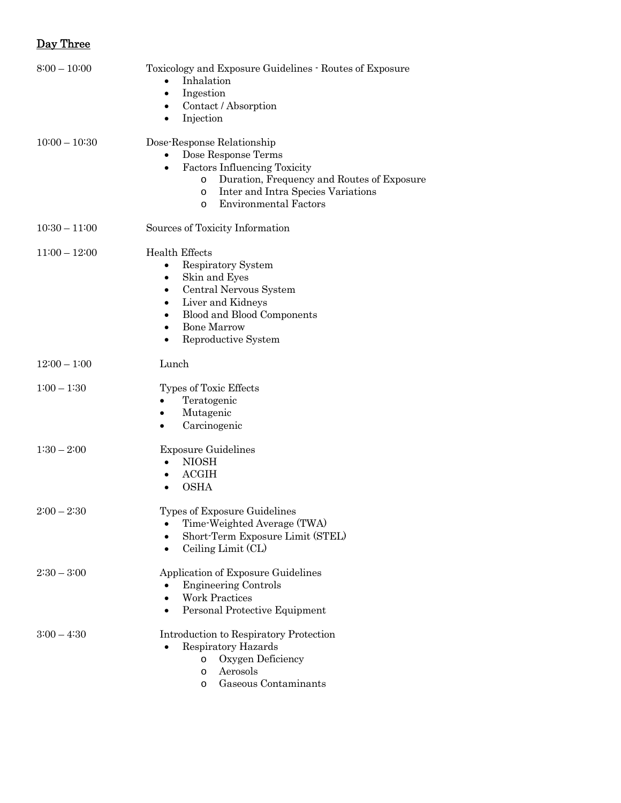## Day Three

| $8:00 - 10:00$  | Toxicology and Exposure Guidelines - Routes of Exposure<br>Inhalation<br>Ingestion<br>٠<br>Contact / Absorption<br>٠<br>Injection<br>٠                                                                                                                                            |
|-----------------|-----------------------------------------------------------------------------------------------------------------------------------------------------------------------------------------------------------------------------------------------------------------------------------|
| $10:00 - 10:30$ | Dose-Response Relationship<br>Dose Response Terms<br><b>Factors Influencing Toxicity</b><br>$\bullet$<br>Duration, Frequency and Routes of Exposure<br>O<br>Inter and Intra Species Variations<br>O<br><b>Environmental Factors</b><br>$\circ$                                    |
| $10:30 - 11:00$ | Sources of Toxicity Information                                                                                                                                                                                                                                                   |
| $11:00 - 12:00$ | <b>Health Effects</b><br>Respiratory System<br>$\bullet$<br>Skin and Eyes<br>$\bullet$<br>Central Nervous System<br>$\bullet$<br>Liver and Kidneys<br>$\bullet$<br>Blood and Blood Components<br>$\bullet$<br><b>Bone Marrow</b><br>$\bullet$<br>Reproductive System<br>$\bullet$ |
| $12:00 - 1:00$  | Lunch                                                                                                                                                                                                                                                                             |
| $1:00 - 1:30$   | Types of Toxic Effects<br>Teratogenic<br>Mutagenic<br>٠<br>Carcinogenic<br>$\bullet$                                                                                                                                                                                              |
| $1:30 - 2:00$   | <b>Exposure Guidelines</b><br><b>NIOSH</b><br>$\bullet$<br><b>ACGIH</b><br>$\bullet$<br><b>OSHA</b><br>$\bullet$                                                                                                                                                                  |
| $2:00 - 2:30$   | Types of Exposure Guidelines<br>Time-Weighted Average (TWA)<br>Short-Term Exposure Limit (STEL)<br>Ceiling Limit (CL)                                                                                                                                                             |
| $2:30 - 3:00$   | Application of Exposure Guidelines<br><b>Engineering Controls</b><br><b>Work Practices</b><br>Personal Protective Equipment                                                                                                                                                       |
| $3:00 - 4:30$   | Introduction to Respiratory Protection<br>Respiratory Hazards<br>Oxygen Deficiency<br>$\circ$<br>Aerosols<br>$\circ$<br>Gaseous Contaminants<br>$\circ$                                                                                                                           |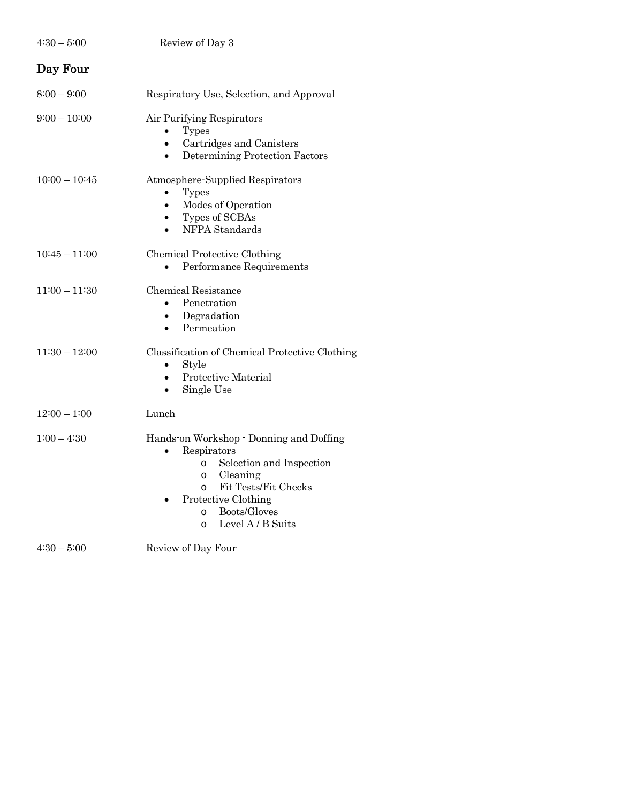| $4:30-5:00$     | Review of Day 3                                                                                                                                                                                                                                         |
|-----------------|---------------------------------------------------------------------------------------------------------------------------------------------------------------------------------------------------------------------------------------------------------|
| Day Four        |                                                                                                                                                                                                                                                         |
| $8:00 - 9:00$   | Respiratory Use, Selection, and Approval                                                                                                                                                                                                                |
| $9:00 - 10:00$  | Air Purifying Respirators<br><b>Types</b><br>Cartridges and Canisters<br>$\bullet$<br>Determining Protection Factors<br>$\bullet$                                                                                                                       |
| $10:00 - 10:45$ | Atmosphere-Supplied Respirators<br><b>Types</b><br>Modes of Operation<br>$\bullet$<br>Types of SCBAs<br>$\bullet$<br>NFPA Standards                                                                                                                     |
| $10:45 - 11:00$ | Chemical Protective Clothing<br>Performance Requirements                                                                                                                                                                                                |
| $11:00 - 11:30$ | <b>Chemical Resistance</b><br>Penetration<br>Degradation<br>$\bullet$<br>Permeation                                                                                                                                                                     |
| $11:30 - 12:00$ | Classification of Chemical Protective Clothing<br>Style<br>$\bullet$<br>Protective Material<br>$\bullet$<br>Single Use                                                                                                                                  |
| $12:00 - 1:00$  | Lunch                                                                                                                                                                                                                                                   |
| $1:00 - 4:30$   | Hands-on Workshop - Donning and Doffing<br>Respirators<br>Selection and Inspection<br>$\Omega$<br>Cleaning<br>$\circ$<br>Fit Tests/Fit Checks<br>$\circ$<br>Protective Clothing<br>$\bullet$<br>Boots/Gloves<br>$\circ$<br>Level A / B Suits<br>$\circ$ |
| $4:30-5:00$     | Review of Day Four                                                                                                                                                                                                                                      |